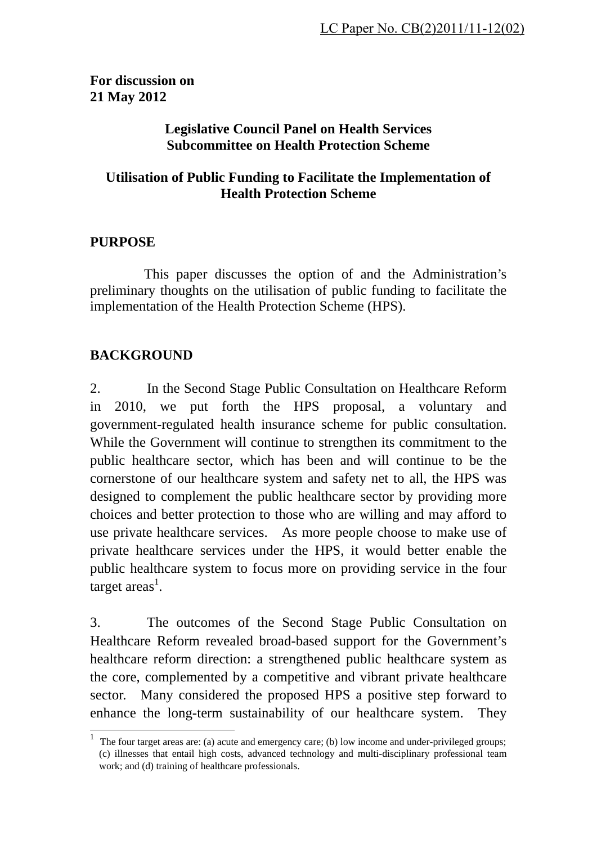### **For discussion on 21 May 2012**

#### **Legislative Council Panel on Health Services Subcommittee on Health Protection Scheme**

### **Utilisation of Public Funding to Facilitate the Implementation of Health Protection Scheme**

### **PURPOSE**

 This paper discusses the option of and the Administration's preliminary thoughts on the utilisation of public funding to facilitate the implementation of the Health Protection Scheme (HPS).

## **BACKGROUND**

 $\overline{\phantom{a}}$ 

2. In the Second Stage Public Consultation on Healthcare Reform in 2010, we put forth the HPS proposal, a voluntary and government-regulated health insurance scheme for public consultation. While the Government will continue to strengthen its commitment to the public healthcare sector, which has been and will continue to be the cornerstone of our healthcare system and safety net to all, the HPS was designed to complement the public healthcare sector by providing more choices and better protection to those who are willing and may afford to use private healthcare services. As more people choose to make use of private healthcare services under the HPS, it would better enable the public healthcare system to focus more on providing service in the four target areas<sup>1</sup>.

3. The outcomes of the Second Stage Public Consultation on Healthcare Reform revealed broad-based support for the Government's healthcare reform direction: a strengthened public healthcare system as the core, complemented by a competitive and vibrant private healthcare sector. Many considered the proposed HPS a positive step forward to enhance the long-term sustainability of our healthcare system. They

<sup>1</sup> The four target areas are: (a) acute and emergency care; (b) low income and under-privileged groups; (c) illnesses that entail high costs, advanced technology and multi-disciplinary professional team work; and (d) training of healthcare professionals.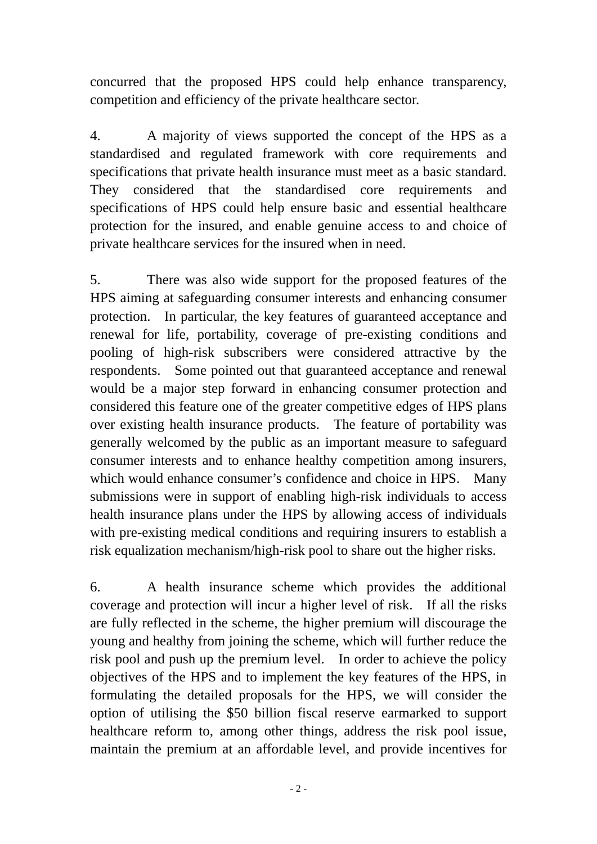concurred that the proposed HPS could help enhance transparency, competition and efficiency of the private healthcare sector.

4. A majority of views supported the concept of the HPS as a standardised and regulated framework with core requirements and specifications that private health insurance must meet as a basic standard. They considered that the standardised core requirements and specifications of HPS could help ensure basic and essential healthcare protection for the insured, and enable genuine access to and choice of private healthcare services for the insured when in need.

5. There was also wide support for the proposed features of the HPS aiming at safeguarding consumer interests and enhancing consumer protection. In particular, the key features of guaranteed acceptance and renewal for life, portability, coverage of pre-existing conditions and pooling of high-risk subscribers were considered attractive by the respondents. Some pointed out that guaranteed acceptance and renewal would be a major step forward in enhancing consumer protection and considered this feature one of the greater competitive edges of HPS plans over existing health insurance products. The feature of portability was generally welcomed by the public as an important measure to safeguard consumer interests and to enhance healthy competition among insurers, which would enhance consumer's confidence and choice in HPS. Many submissions were in support of enabling high-risk individuals to access health insurance plans under the HPS by allowing access of individuals with pre-existing medical conditions and requiring insurers to establish a risk equalization mechanism/high-risk pool to share out the higher risks.

6. A health insurance scheme which provides the additional coverage and protection will incur a higher level of risk. If all the risks are fully reflected in the scheme, the higher premium will discourage the young and healthy from joining the scheme, which will further reduce the risk pool and push up the premium level. In order to achieve the policy objectives of the HPS and to implement the key features of the HPS, in formulating the detailed proposals for the HPS, we will consider the option of utilising the \$50 billion fiscal reserve earmarked to support healthcare reform to, among other things, address the risk pool issue, maintain the premium at an affordable level, and provide incentives for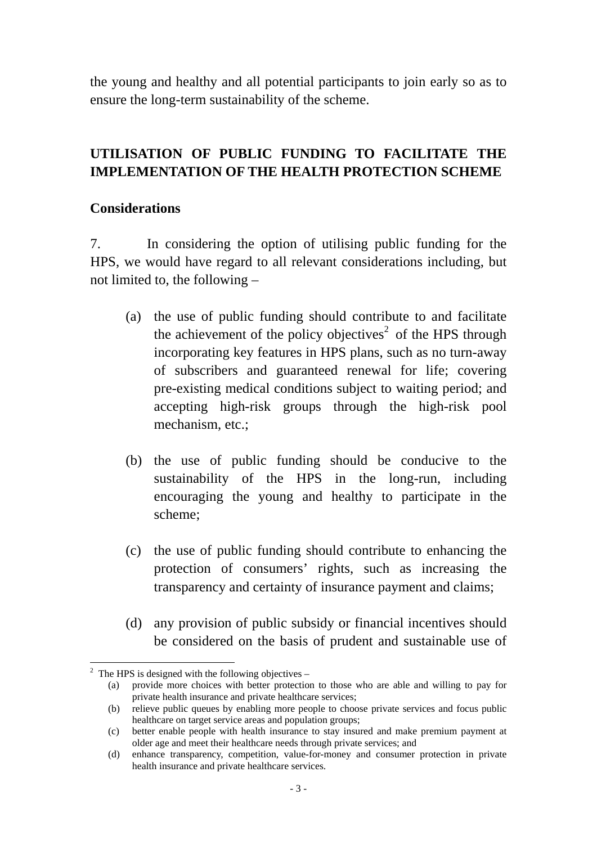the young and healthy and all potential participants to join early so as to ensure the long-term sustainability of the scheme.

# **UTILISATION OF PUBLIC FUNDING TO FACILITATE THE IMPLEMENTATION OF THE HEALTH PROTECTION SCHEME**

#### **Considerations**

7. In considering the option of utilising public funding for the HPS, we would have regard to all relevant considerations including, but not limited to, the following –

- (a) the use of public funding should contribute to and facilitate the achievement of the policy objectives<sup>2</sup> of the HPS through incorporating key features in HPS plans, such as no turn-away of subscribers and guaranteed renewal for life; covering pre-existing medical conditions subject to waiting period; and accepting high-risk groups through the high-risk pool mechanism, etc.;
- (b) the use of public funding should be conducive to the sustainability of the HPS in the long-run, including encouraging the young and healthy to participate in the scheme;
- (c) the use of public funding should contribute to enhancing the protection of consumers' rights, such as increasing the transparency and certainty of insurance payment and claims;
- (d) any provision of public subsidy or financial incentives should be considered on the basis of prudent and sustainable use of

 $\overline{a}$ 

<sup>2</sup> The HPS is designed with the following objectives –

<sup>(</sup>a) provide more choices with better protection to those who are able and willing to pay for private health insurance and private healthcare services;

<sup>(</sup>b) relieve public queues by enabling more people to choose private services and focus public healthcare on target service areas and population groups;

<sup>(</sup>c) better enable people with health insurance to stay insured and make premium payment at older age and meet their healthcare needs through private services; and

<sup>(</sup>d) enhance transparency, competition, value-for-money and consumer protection in private health insurance and private healthcare services.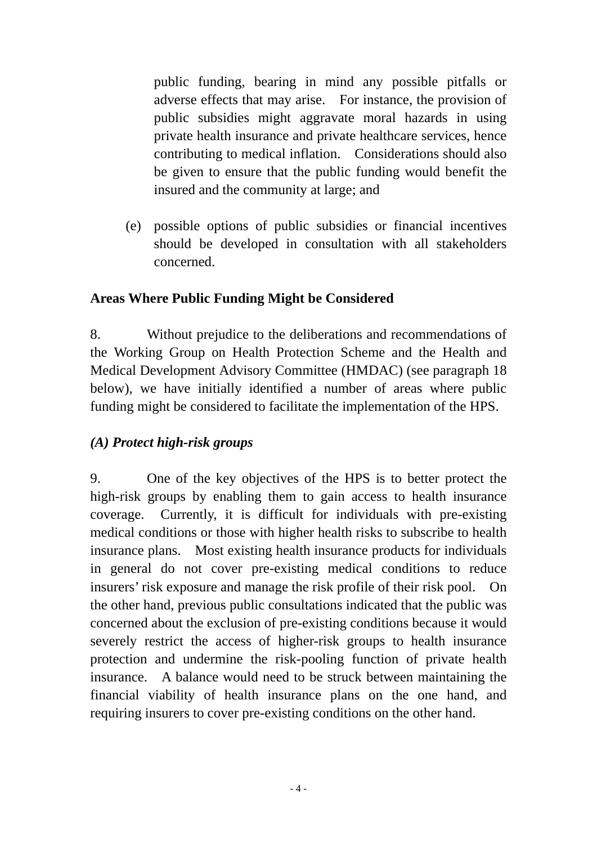public funding, bearing in mind any possible pitfalls or adverse effects that may arise. For instance, the provision of public subsidies might aggravate moral hazards in using private health insurance and private healthcare services, hence contributing to medical inflation. Considerations should also be given to ensure that the public funding would benefit the insured and the community at large; and

(e) possible options of public subsidies or financial incentives should be developed in consultation with all stakeholders concerned.

### **Areas Where Public Funding Might be Considered**

8. Without prejudice to the deliberations and recommendations of the Working Group on Health Protection Scheme and the Health and Medical Development Advisory Committee (HMDAC) (see paragraph 18 below), we have initially identified a number of areas where public funding might be considered to facilitate the implementation of the HPS.

# *(A) Protect high-risk groups*

9. One of the key objectives of the HPS is to better protect the high-risk groups by enabling them to gain access to health insurance coverage. Currently, it is difficult for individuals with pre-existing medical conditions or those with higher health risks to subscribe to health insurance plans. Most existing health insurance products for individuals in general do not cover pre-existing medical conditions to reduce insurers' risk exposure and manage the risk profile of their risk pool. On the other hand, previous public consultations indicated that the public was concerned about the exclusion of pre-existing conditions because it would severely restrict the access of higher-risk groups to health insurance protection and undermine the risk-pooling function of private health insurance. A balance would need to be struck between maintaining the financial viability of health insurance plans on the one hand, and requiring insurers to cover pre-existing conditions on the other hand.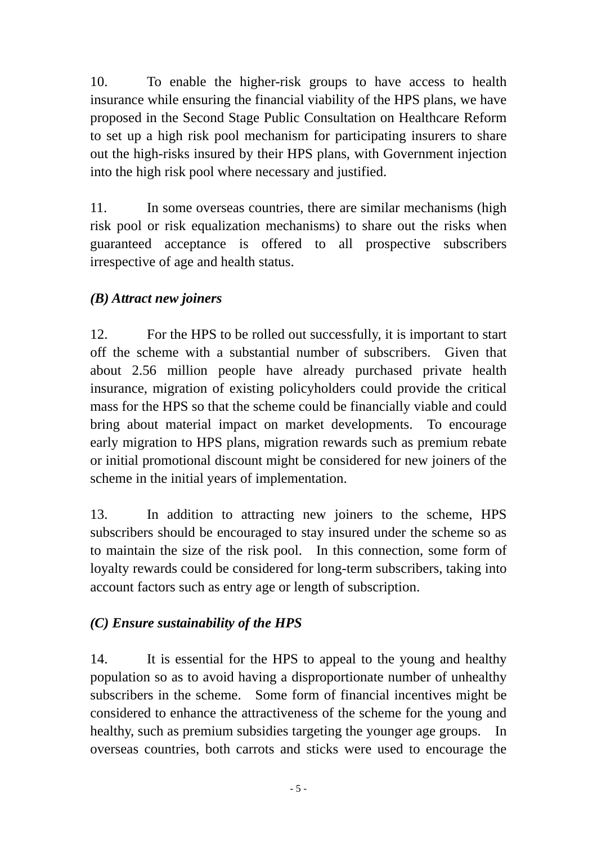10. To enable the higher-risk groups to have access to health insurance while ensuring the financial viability of the HPS plans, we have proposed in the Second Stage Public Consultation on Healthcare Reform to set up a high risk pool mechanism for participating insurers to share out the high-risks insured by their HPS plans, with Government injection into the high risk pool where necessary and justified.

11. In some overseas countries, there are similar mechanisms (high risk pool or risk equalization mechanisms) to share out the risks when guaranteed acceptance is offered to all prospective subscribers irrespective of age and health status.

## *(B) Attract new joiners*

12. For the HPS to be rolled out successfully, it is important to start off the scheme with a substantial number of subscribers. Given that about 2.56 million people have already purchased private health insurance, migration of existing policyholders could provide the critical mass for the HPS so that the scheme could be financially viable and could bring about material impact on market developments. To encourage early migration to HPS plans, migration rewards such as premium rebate or initial promotional discount might be considered for new joiners of the scheme in the initial years of implementation.

13. In addition to attracting new joiners to the scheme, HPS subscribers should be encouraged to stay insured under the scheme so as to maintain the size of the risk pool. In this connection, some form of loyalty rewards could be considered for long-term subscribers, taking into account factors such as entry age or length of subscription.

### *(C) Ensure sustainability of the HPS*

14. It is essential for the HPS to appeal to the young and healthy population so as to avoid having a disproportionate number of unhealthy subscribers in the scheme. Some form of financial incentives might be considered to enhance the attractiveness of the scheme for the young and healthy, such as premium subsidies targeting the younger age groups. In overseas countries, both carrots and sticks were used to encourage the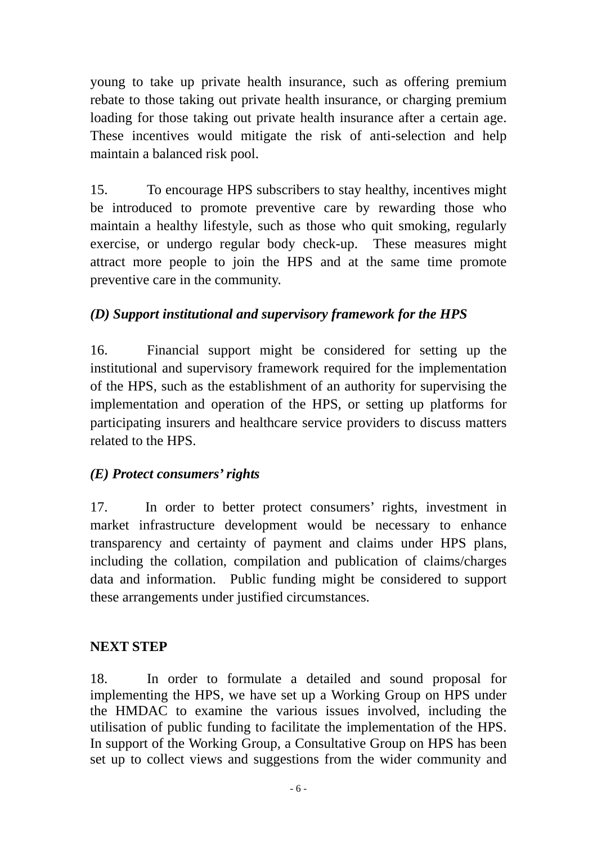young to take up private health insurance, such as offering premium rebate to those taking out private health insurance, or charging premium loading for those taking out private health insurance after a certain age. These incentives would mitigate the risk of anti-selection and help maintain a balanced risk pool.

15. To encourage HPS subscribers to stay healthy, incentives might be introduced to promote preventive care by rewarding those who maintain a healthy lifestyle, such as those who quit smoking, regularly exercise, or undergo regular body check-up. These measures might attract more people to join the HPS and at the same time promote preventive care in the community.

# *(D) Support institutional and supervisory framework for the HPS*

16. Financial support might be considered for setting up the institutional and supervisory framework required for the implementation of the HPS, such as the establishment of an authority for supervising the implementation and operation of the HPS, or setting up platforms for participating insurers and healthcare service providers to discuss matters related to the HPS.

### *(E) Protect consumers' rights*

17. In order to better protect consumers' rights, investment in market infrastructure development would be necessary to enhance transparency and certainty of payment and claims under HPS plans, including the collation, compilation and publication of claims/charges data and information. Public funding might be considered to support these arrangements under justified circumstances.

### **NEXT STEP**

18. In order to formulate a detailed and sound proposal for implementing the HPS, we have set up a Working Group on HPS under the HMDAC to examine the various issues involved, including the utilisation of public funding to facilitate the implementation of the HPS. In support of the Working Group, a Consultative Group on HPS has been set up to collect views and suggestions from the wider community and